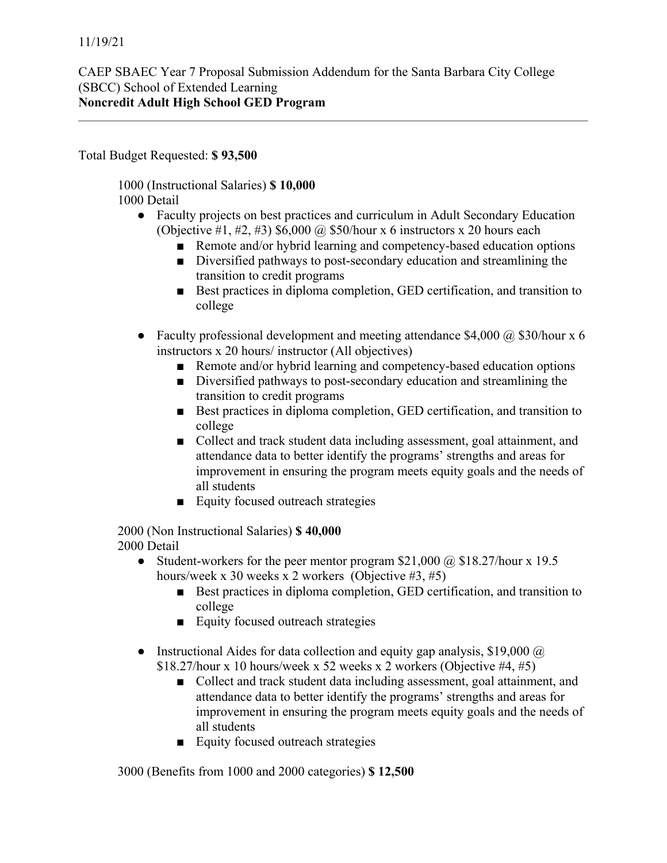Total Budget Requested: **\$ 93,500**

1000 (Instructional Salaries) **\$ 10,000** 1000 Detail

- Faculty projects on best practices and curriculum in Adult Secondary Education (Objective #1, #2, #3)  $$6,000$  @ \$50/hour x 6 instructors x 20 hours each
	- Remote and/or hybrid learning and competency-based education options
	- Diversified pathways to post-secondary education and streamlining the transition to credit programs
	- Best practices in diploma completion, GED certification, and transition to college
- Faculty professional development and meeting attendance \$4,000  $\omega$  \$30/hour x 6 instructors x 20 hours/ instructor (All objectives)
	- Remote and/or hybrid learning and competency-based education options
	- Diversified pathways to post-secondary education and streamlining the transition to credit programs
	- Best practices in diploma completion, GED certification, and transition to college
	- Collect and track student data including assessment, goal attainment, and attendance data to better identify the programs' strengths and areas for improvement in ensuring the program meets equity goals and the needs of all students
	- Equity focused outreach strategies

2000 (Non Instructional Salaries) **\$ 40,000** 2000 Detail

- Student-workers for the peer mentor program \$21,000  $\omega$  \$18.27/hour x 19.5 hours/week x 30 weeks x 2 workers (Objective #3, #5)
	- Best practices in diploma completion, GED certification, and transition to college
	- Equity focused outreach strategies
- Instructional Aides for data collection and equity gap analysis, \$19,000  $\omega$  $$18.27/h$ our x 10 hours/week x 52 weeks x 2 workers (Objective #4, #5)
	- Collect and track student data including assessment, goal attainment, and attendance data to better identify the programs' strengths and areas for improvement in ensuring the program meets equity goals and the needs of all students
	- Equity focused outreach strategies

3000 (Benefits from 1000 and 2000 categories) **\$ 12,500**